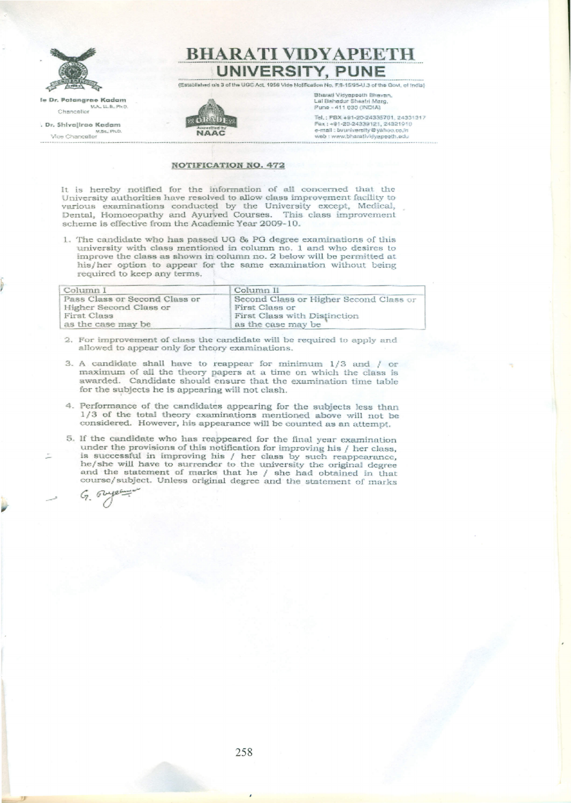

le Dr. Patangrao Kadam **MALLLE\_Pho** Chancelor

, Dr. Shivalirgo Kadam Moe Chanceller<br>Moe Chanceller



(Established u/s 3 of the UGC Act, 1956 Vide Notfloation No. F.9-15/95-U.3 of the Govt, of India!)

Bhasal Vidyappath Bhayan cal Bahadur Sheatri Marg. Pune - 411 030 (INDIA)

Tel.: PBX +91-20-24335701, 24331917 Fax: +91-20-24339121, 24321910 e-mail: byuniversity@yahoo.co.in<br>web : www.bharativiiyapeeth.edu

## **NOTIFICATION NO. 472**

NAAC

It is hereby notified for the information of all concerned that the University authorities have resolved to allow class improvement facility to various examinations conducted by the University except, Medical, Dental, Homocopathy and Ayurved Courses. This class improvement scheme is effective from the Academic Year 2009-10.

1. The candidate who has passed UG & PG degree examinations of this university with class mentioned in column no. 1 and who desires to improve the class as shown in column no. 2 below will be permitted at his/her option to appear for the same examination without being required to keep any terms.

| Column I                      | Column II                              |
|-------------------------------|----------------------------------------|
| Pass Class or Second Class or | Second Class or Higher Second Class or |
| Higher Second Class or        | First Class or                         |
| First Class                   | First Class with Distinction           |
| as the case may be            | as the case may be                     |

- 2. For improvement of class the candidate will be required to apply and allowed to appear only for theory examinations.
- 3. A candidate shall have to reappear for minimum 1/3 and / or maximum of all the theory papers at a time on which the class is awarded. Candidate should ensure that the examination time table for the subjects he is appearing will not clash.
- 4. Performance of the candidates appearing for the subjects less than 1/3 of the total theory examinations mentioned above will not be considered. However, his appearance will be counted as an attempt.
- 5. If the candidate who has reappeared for the final year examination under the provisions of this notification for improving his / her class, is successful in improving his / her class by such reappearance, he/she will have to surrender to the university the original degree and the statement of marks that he / she had obtained in that course/subject. Unless original degree and the statement of marks

 $62$